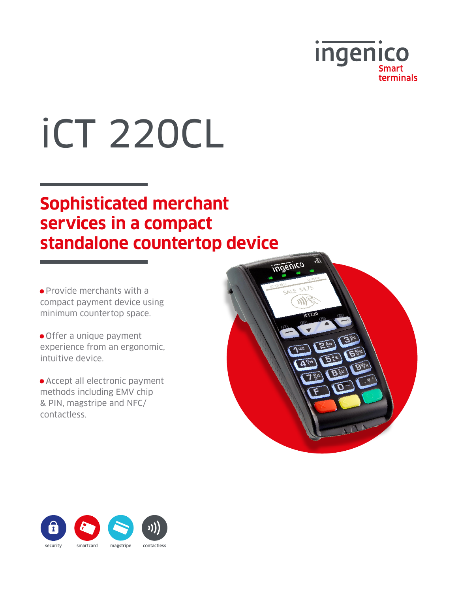

# iCT 220CL

## **Sophisticated merchant services in a compact standalone countertop device**

**•** Provide merchants with a compact payment device using minimum countertop space.

**•** Offer a unique payment experience from an ergonomic, intuitive device.

**•** Accept all electronic payment methods including EMV chip & PIN, magstripe and NFC/ contactless.